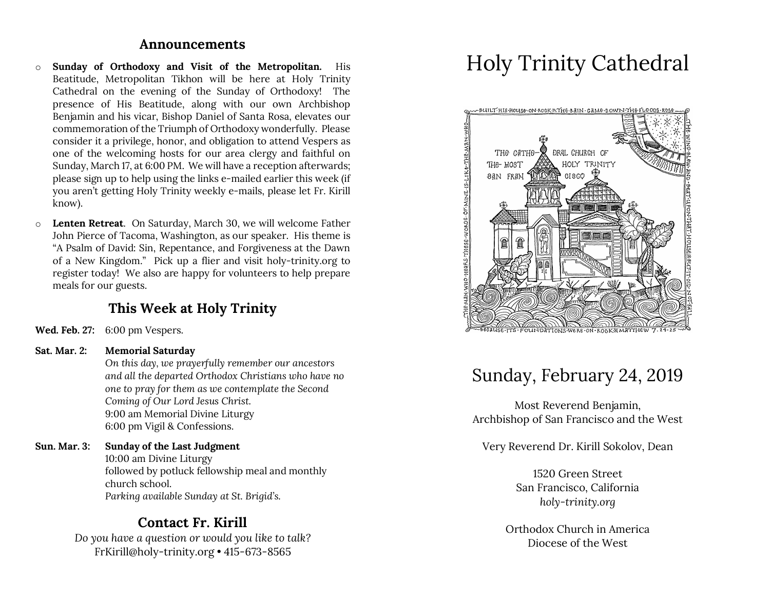### **Announcements**

- o **Sunday of Orthodoxy and Visit of the Metropolitan.** His Beatitude, Metropolitan Tikhon will be here at Holy Trinity Cathedral on the evening of the Sunday of Orthodoxy! The presence of His Beatitude, along with our own Archbishop Benjamin and his vicar, Bishop Daniel of Santa Rosa, elevates our commemoration of the Triumph of Orthodoxy wonderfully. Please consider it a privilege, honor, and obligation to attend Vespers as one of the welcoming hosts for our area clergy and faithful on Sunday, March 17, at 6:00 PM. We will have a reception afterwards; please sign up to help using the links e-mailed earlier this week (if you aren't getting Holy Trinity weekly e-mails, please let Fr. Kirill know).
- o **Lenten Retreat**. On Saturday, March 30, we will welcome Father John Pierce of Tacoma, Washington, as our speaker. His theme is "A Psalm of David: Sin, Repentance, and Forgiveness at the Dawn of a New Kingdom." Pick up a flier and visit holy-trinity.org to register today! We also are happy for volunteers to help prepare meals for our guests.

## **This Week at Holy Trinity**

**Wed. Feb. 27:** 6:00 pm Vespers.

#### **Sat. Mar. 2: Memorial Saturday**

*On this day, we prayerfully remember our ancestors and all the departed Orthodox Christians who have no one to pray for them as we contemplate the Second Coming of Our Lord Jesus Christ.* 9:00 am Memorial Divine Liturgy 6:00 pm Vigil & Confessions.

### **Sun. Mar. 3: Sunday of the Last Judgment**

10:00 am Divine Liturgy followed by potluck fellowship meal and monthly church school. *Parking available Sunday at St. Brigid's.*

### **Contact Fr. Kirill**

*Do you have a question or would you like to talk?* FrKirill@holy-trinity.org • 415-673-8565

# Holy Trinity Cathedral



## Sunday, February 24, 2019

Most Reverend Benjamin, Archbishop of San Francisco and the West

Very Reverend Dr. Kirill Sokolov, Dean

1520 Green Street San Francisco, California *holy-trinity.org*

Orthodox Church in America Diocese of the West